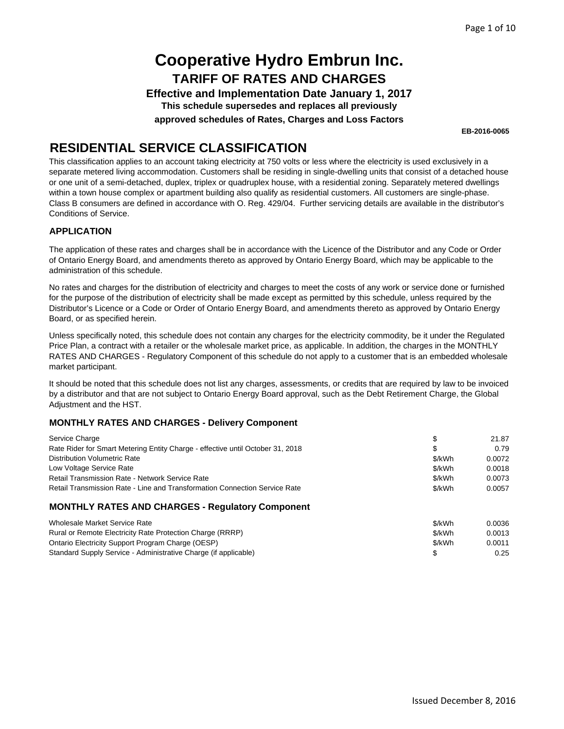**Effective and Implementation Date January 1, 2017 This schedule supersedes and replaces all previously**

**approved schedules of Rates, Charges and Loss Factors**

**EB-2016-0065**

## **RESIDENTIAL SERVICE CLASSIFICATION**

This classification applies to an account taking electricity at 750 volts or less where the electricity is used exclusively in a separate metered living accommodation. Customers shall be residing in single-dwelling units that consist of a detached house or one unit of a semi-detached, duplex, triplex or quadruplex house, with a residential zoning. Separately metered dwellings within a town house complex or apartment building also qualify as residential customers. All customers are single-phase. Class B consumers are defined in accordance with O. Reg. 429/04. Further servicing details are available in the distributor's Conditions of Service.

### **APPLICATION**

The application of these rates and charges shall be in accordance with the Licence of the Distributor and any Code or Order of Ontario Energy Board, and amendments thereto as approved by Ontario Energy Board, which may be applicable to the administration of this schedule.

No rates and charges for the distribution of electricity and charges to meet the costs of any work or service done or furnished for the purpose of the distribution of electricity shall be made except as permitted by this schedule, unless required by the Distributor's Licence or a Code or Order of Ontario Energy Board, and amendments thereto as approved by Ontario Energy Board, or as specified herein.

Unless specifically noted, this schedule does not contain any charges for the electricity commodity, be it under the Regulated Price Plan, a contract with a retailer or the wholesale market price, as applicable. In addition, the charges in the MONTHLY RATES AND CHARGES - Regulatory Component of this schedule do not apply to a customer that is an embedded wholesale market participant.

It should be noted that this schedule does not list any charges, assessments, or credits that are required by law to be invoiced by a distributor and that are not subject to Ontario Energy Board approval, such as the Debt Retirement Charge, the Global Adjustment and the HST.

### **MONTHLY RATES AND CHARGES - Delivery Component**

| Service Charge                                                                 | S      | 21.87  |
|--------------------------------------------------------------------------------|--------|--------|
| Rate Rider for Smart Metering Entity Charge - effective until October 31, 2018 | S      | 0.79   |
| <b>Distribution Volumetric Rate</b>                                            | \$/kWh | 0.0072 |
| Low Voltage Service Rate                                                       | \$/kWh | 0.0018 |
| <b>Retail Transmission Rate - Network Service Rate</b>                         | \$/kWh | 0.0073 |
| Retail Transmission Rate - Line and Transformation Connection Service Rate     | \$/kWh | 0.0057 |
| MONITHLY DATES AND CHADGES - Dequistery Component                              |        |        |

### **MONTHLY RATES AND CHARGES - Regulatory Component**

| Wholesale Market Service Rate                                   | \$/kWh | 0.0036 |
|-----------------------------------------------------------------|--------|--------|
| Rural or Remote Electricity Rate Protection Charge (RRRP)       | \$/kWh | 0.0013 |
| Ontario Electricity Support Program Charge (OESP)               | \$/kWh | 0.0011 |
| Standard Supply Service - Administrative Charge (if applicable) |        | 0.25   |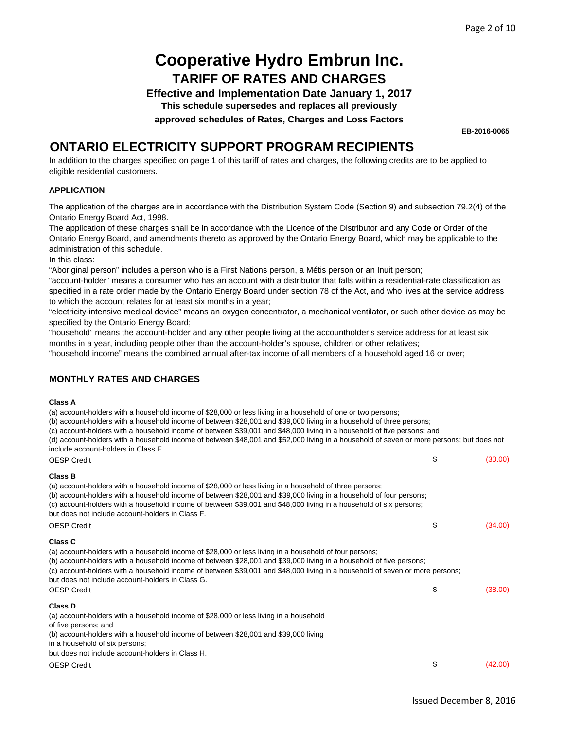**Effective and Implementation Date January 1, 2017**

**This schedule supersedes and replaces all previously**

**approved schedules of Rates, Charges and Loss Factors**

**EB-2016-0065**

### **ONTARIO ELECTRICITY SUPPORT PROGRAM RECIPIENTS**

In addition to the charges specified on page 1 of this tariff of rates and charges, the following credits are to be applied to eligible residential customers.

#### **APPLICATION**

The application of the charges are in accordance with the Distribution System Code (Section 9) and subsection 79.2(4) of the Ontario Energy Board Act, 1998.

The application of these charges shall be in accordance with the Licence of the Distributor and any Code or Order of the Ontario Energy Board, and amendments thereto as approved by the Ontario Energy Board, which may be applicable to the administration of this schedule.

In this class:

"Aboriginal person" includes a person who is a First Nations person, a Métis person or an Inuit person;

"account-holder" means a consumer who has an account with a distributor that falls within a residential-rate classification as specified in a rate order made by the Ontario Energy Board under section 78 of the Act, and who lives at the service address to which the account relates for at least six months in a year;

"electricity-intensive medical device" means an oxygen concentrator, a mechanical ventilator, or such other device as may be specified by the Ontario Energy Board;

"household" means the account-holder and any other people living at the accountholder's service address for at least six months in a year, including people other than the account-holder's spouse, children or other relatives;

"household income" means the combined annual after-tax income of all members of a household aged 16 or over;

### **MONTHLY RATES AND CHARGES**

#### **Class A**

(a) account-holders with a household income of \$28,000 or less living in a household of one or two persons;

(b) account-holders with a household income of between \$28,001 and \$39,000 living in a household of three persons;

(c) account-holders with a household income of between \$39,001 and \$48,000 living in a household of five persons; and

(d) account-holders with a household income of between \$48,001 and \$52,000 living in a household of seven or more persons; but does not include account-holders in Class E.

| <b>OESP Credit</b>                                                                                                                                                                                                                                                                                                                                                                                                                                        | \$<br>(30.00) |
|-----------------------------------------------------------------------------------------------------------------------------------------------------------------------------------------------------------------------------------------------------------------------------------------------------------------------------------------------------------------------------------------------------------------------------------------------------------|---------------|
| <b>Class B</b><br>(a) account-holders with a household income of \$28,000 or less living in a household of three persons;<br>(b) account-holders with a household income of between \$28,001 and \$39,000 living in a household of four persons;<br>(c) account-holders with a household income of between \$39,001 and \$48,000 living in a household of six persons;<br>but does not include account-holders in Class F.                                |               |
| <b>OESP Credit</b>                                                                                                                                                                                                                                                                                                                                                                                                                                        | \$<br>(34.00) |
| <b>Class C</b><br>(a) account-holders with a household income of \$28,000 or less living in a household of four persons;<br>(b) account-holders with a household income of between \$28,001 and \$39,000 living in a household of five persons;<br>(c) account-holders with a household income of between \$39,001 and \$48,000 living in a household of seven or more persons;<br>but does not include account-holders in Class G.<br><b>OESP Credit</b> | \$<br>(38.00) |
| Class D<br>(a) account-holders with a household income of \$28,000 or less living in a household<br>of five persons; and<br>(b) account-holders with a household income of between \$28,001 and \$39,000 living<br>in a household of six persons;<br>but does not include account-holders in Class H.                                                                                                                                                     |               |
| <b>OESP Credit</b>                                                                                                                                                                                                                                                                                                                                                                                                                                        | \$<br>(42.00) |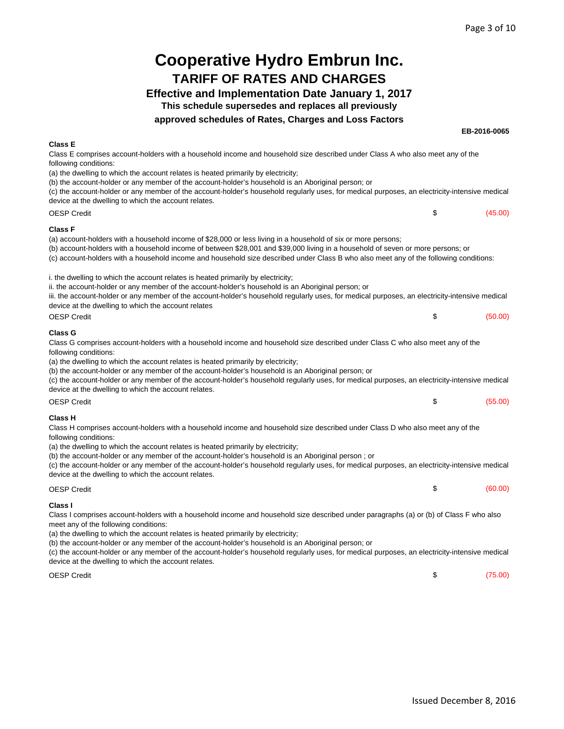#### **Cooperative Hydro Embrun Inc. TARIFF OF RATES AND CHARGES Effective and Implementation Date January 1, 2017 This schedule supersedes and replaces all previously approved schedules of Rates, Charges and Loss Factors EB-2016-0065**  $$ (45.00)$ \$ (50.00) \$ (55.00) \$ (60.00) (a) account-holders with a household income of \$28,000 or less living in a household of six or more persons; (b) account-holders with a household income of between \$28,001 and \$39,000 living in a household of seven or more persons; or (c) account-holders with a household income and household size described under Class B who also meet any of the following conditions: i. the dwelling to which the account relates is heated primarily by electricity; ii. the account-holder or any member of the account-holder's household is an Aboriginal person; or iii. the account-holder or any member of the account-holder's household regularly uses, for medical purposes, an electricity-intensive medical device at the dwelling to which the account relates OESP Credit **Class G** Class G comprises account-holders with a household income and household size described under Class C who also meet any of the following conditions: (a) the dwelling to which the account relates is heated primarily by electricity; (b) the account-holder or any member of the account-holder's household is an Aboriginal person; or (c) the account-holder or any member of the account-holder's household regularly uses, for medical purposes, an electricity-intensive medical device at the dwelling to which the account relates. OESP Credit **Class E** Class E comprises account-holders with a household income and household size described under Class A who also meet any of the following conditions: (a) the dwelling to which the account relates is heated primarily by electricity; (b) the account-holder or any member of the account-holder's household is an Aboriginal person; or (c) the account-holder or any member of the account-holder's household regularly uses, for medical purposes, an electricity-intensive medical device at the dwelling to which the account relates. OESP Credit **Class F Class H** Class H comprises account-holders with a household income and household size described under Class D who also meet any of the following conditions: (a) the dwelling to which the account relates is heated primarily by electricity; (b) the account-holder or any member of the account-holder's household is an Aboriginal person ; or (c) the account-holder or any member of the account-holder's household regularly uses, for medical purposes, an electricity-intensive medical device at the dwelling to which the account relates. OESP Credit **Class I** Class I comprises account-holders with a household income and household size described under paragraphs (a) or (b) of Class F who also meet any of the following conditions: (a) the dwelling to which the account relates is heated primarily by electricity; (b) the account-holder or any member of the account-holder's household is an Aboriginal person; or

(c) the account-holder or any member of the account-holder's household regularly uses, for medical purposes, an electricity-intensive medical device at the dwelling to which the account relates.

OESP Credit

 $$$  (75.00)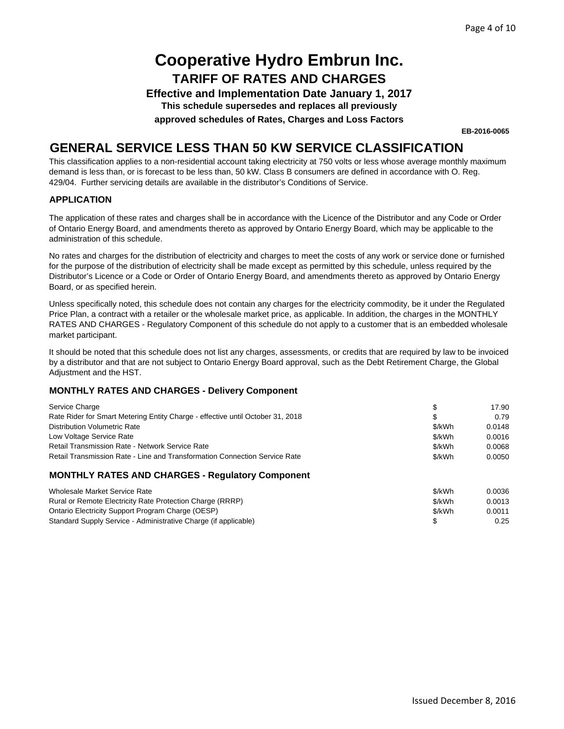**Effective and Implementation Date January 1, 2017**

**This schedule supersedes and replaces all previously**

**approved schedules of Rates, Charges and Loss Factors**

**EB-2016-0065**

### **GENERAL SERVICE LESS THAN 50 KW SERVICE CLASSIFICATION**

This classification applies to a non-residential account taking electricity at 750 volts or less whose average monthly maximum demand is less than, or is forecast to be less than, 50 kW. Class B consumers are defined in accordance with O. Reg. 429/04. Further servicing details are available in the distributor's Conditions of Service.

### **APPLICATION**

The application of these rates and charges shall be in accordance with the Licence of the Distributor and any Code or Order of Ontario Energy Board, and amendments thereto as approved by Ontario Energy Board, which may be applicable to the administration of this schedule.

No rates and charges for the distribution of electricity and charges to meet the costs of any work or service done or furnished for the purpose of the distribution of electricity shall be made except as permitted by this schedule, unless required by the Distributor's Licence or a Code or Order of Ontario Energy Board, and amendments thereto as approved by Ontario Energy Board, or as specified herein.

Unless specifically noted, this schedule does not contain any charges for the electricity commodity, be it under the Regulated Price Plan, a contract with a retailer or the wholesale market price, as applicable. In addition, the charges in the MONTHLY RATES AND CHARGES - Regulatory Component of this schedule do not apply to a customer that is an embedded wholesale market participant.

It should be noted that this schedule does not list any charges, assessments, or credits that are required by law to be invoiced by a distributor and that are not subject to Ontario Energy Board approval, such as the Debt Retirement Charge, the Global Adjustment and the HST.

| Service Charge                                                                 | \$     | 17.90  |
|--------------------------------------------------------------------------------|--------|--------|
| Rate Rider for Smart Metering Entity Charge - effective until October 31, 2018 | \$     | 0.79   |
| <b>Distribution Volumetric Rate</b>                                            | \$/kWh | 0.0148 |
| Low Voltage Service Rate                                                       | \$/kWh | 0.0016 |
| <b>Retail Transmission Rate - Network Service Rate</b>                         | \$/kWh | 0.0068 |
| Retail Transmission Rate - Line and Transformation Connection Service Rate     | \$/kWh | 0.0050 |
| <b>MONTHLY RATES AND CHARGES - Regulatory Component</b>                        |        |        |
|                                                                                |        |        |

| Wholesale Market Service Rate                                   | \$/kWh | 0.0036 |
|-----------------------------------------------------------------|--------|--------|
| Rural or Remote Electricity Rate Protection Charge (RRRP)       | \$/kWh | 0.0013 |
| Ontario Electricity Support Program Charge (OESP)               | \$/kWh | 0.0011 |
| Standard Supply Service - Administrative Charge (if applicable) |        | 0.25   |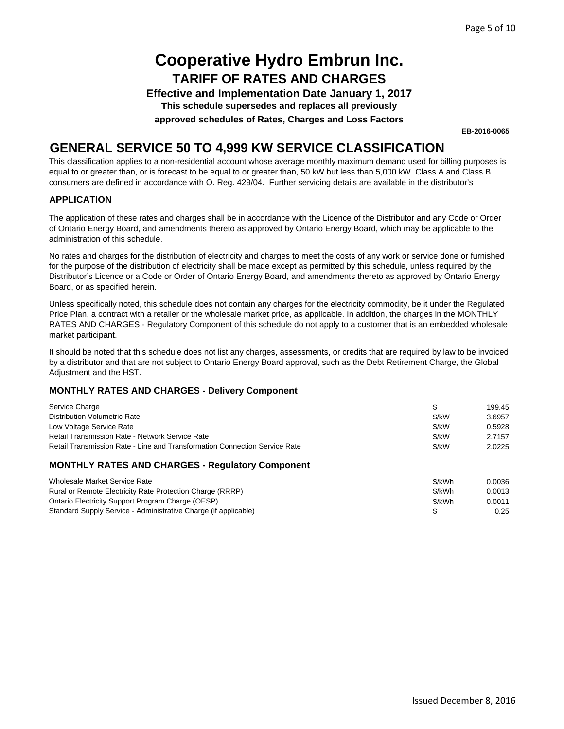**Effective and Implementation Date January 1, 2017**

**This schedule supersedes and replaces all previously**

**approved schedules of Rates, Charges and Loss Factors**

**EB-2016-0065**

### **GENERAL SERVICE 50 TO 4,999 KW SERVICE CLASSIFICATION**

This classification applies to a non-residential account whose average monthly maximum demand used for billing purposes is equal to or greater than, or is forecast to be equal to or greater than, 50 kW but less than 5,000 kW. Class A and Class B consumers are defined in accordance with O. Reg. 429/04. Further servicing details are available in the distributor's

### **APPLICATION**

The application of these rates and charges shall be in accordance with the Licence of the Distributor and any Code or Order of Ontario Energy Board, and amendments thereto as approved by Ontario Energy Board, which may be applicable to the administration of this schedule.

No rates and charges for the distribution of electricity and charges to meet the costs of any work or service done or furnished for the purpose of the distribution of electricity shall be made except as permitted by this schedule, unless required by the Distributor's Licence or a Code or Order of Ontario Energy Board, and amendments thereto as approved by Ontario Energy Board, or as specified herein.

Unless specifically noted, this schedule does not contain any charges for the electricity commodity, be it under the Regulated Price Plan, a contract with a retailer or the wholesale market price, as applicable. In addition, the charges in the MONTHLY RATES AND CHARGES - Regulatory Component of this schedule do not apply to a customer that is an embedded wholesale market participant.

It should be noted that this schedule does not list any charges, assessments, or credits that are required by law to be invoiced by a distributor and that are not subject to Ontario Energy Board approval, such as the Debt Retirement Charge, the Global Adjustment and the HST.

| Service Charge                                                             | \$     | 199.45 |
|----------------------------------------------------------------------------|--------|--------|
| <b>Distribution Volumetric Rate</b>                                        | \$/kW  | 3.6957 |
| Low Voltage Service Rate                                                   | \$/kW  | 0.5928 |
| <b>Retail Transmission Rate - Network Service Rate</b>                     | \$/kW  | 2.7157 |
| Retail Transmission Rate - Line and Transformation Connection Service Rate | \$/kW  | 2.0225 |
| <b>MONTHLY RATES AND CHARGES - Regulatory Component</b>                    |        |        |
| Wholesale Market Service Rate                                              | \$/kWh | 0.0036 |
| Rural or Remote Electricity Rate Protection Charge (RRRP)                  | \$/kWh | 0.0013 |
| Ontario Electricity Support Program Charge (OESP)                          | \$/kWh | 0.0011 |
| Standard Supply Service - Administrative Charge (if applicable)            | \$     | 0.25   |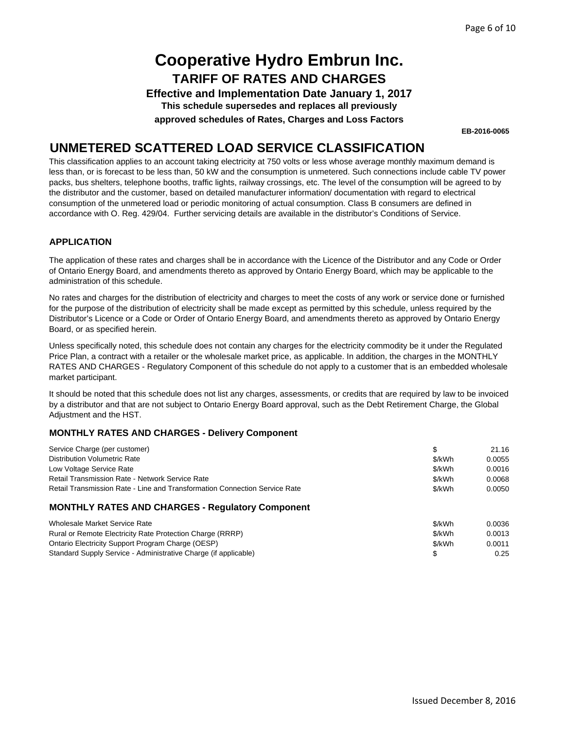**Effective and Implementation Date January 1, 2017**

**This schedule supersedes and replaces all previously**

**approved schedules of Rates, Charges and Loss Factors**

**EB-2016-0065**

### **UNMETERED SCATTERED LOAD SERVICE CLASSIFICATION**

This classification applies to an account taking electricity at 750 volts or less whose average monthly maximum demand is less than, or is forecast to be less than, 50 kW and the consumption is unmetered. Such connections include cable TV power packs, bus shelters, telephone booths, traffic lights, railway crossings, etc. The level of the consumption will be agreed to by the distributor and the customer, based on detailed manufacturer information/ documentation with regard to electrical consumption of the unmetered load or periodic monitoring of actual consumption. Class B consumers are defined in accordance with O. Reg. 429/04. Further servicing details are available in the distributor's Conditions of Service.

### **APPLICATION**

The application of these rates and charges shall be in accordance with the Licence of the Distributor and any Code or Order of Ontario Energy Board, and amendments thereto as approved by Ontario Energy Board, which may be applicable to the administration of this schedule.

No rates and charges for the distribution of electricity and charges to meet the costs of any work or service done or furnished for the purpose of the distribution of electricity shall be made except as permitted by this schedule, unless required by the Distributor's Licence or a Code or Order of Ontario Energy Board, and amendments thereto as approved by Ontario Energy Board, or as specified herein.

Unless specifically noted, this schedule does not contain any charges for the electricity commodity be it under the Regulated Price Plan, a contract with a retailer or the wholesale market price, as applicable. In addition, the charges in the MONTHLY RATES AND CHARGES - Regulatory Component of this schedule do not apply to a customer that is an embedded wholesale market participant.

It should be noted that this schedule does not list any charges, assessments, or credits that are required by law to be invoiced by a distributor and that are not subject to Ontario Energy Board approval, such as the Debt Retirement Charge, the Global Adjustment and the HST.

| Service Charge (per customer)                                              | \$     | 21.16  |
|----------------------------------------------------------------------------|--------|--------|
| <b>Distribution Volumetric Rate</b>                                        | \$/kWh | 0.0055 |
| Low Voltage Service Rate                                                   | \$/kWh | 0.0016 |
| Retail Transmission Rate - Network Service Rate                            | \$/kWh | 0.0068 |
| Retail Transmission Rate - Line and Transformation Connection Service Rate | \$/kWh | 0.0050 |
| <b>MONTHLY RATES AND CHARGES - Regulatory Component</b>                    |        |        |
| Wholesale Market Service Rate                                              | \$/kWh | 0.0036 |
| Rural or Remote Electricity Rate Protection Charge (RRRP)                  | \$/kWh | 0.0013 |
| Ontario Electricity Support Program Charge (OESP)                          | \$/kWh | 0.0011 |
| Standard Supply Service - Administrative Charge (if applicable)            | \$     | 0.25   |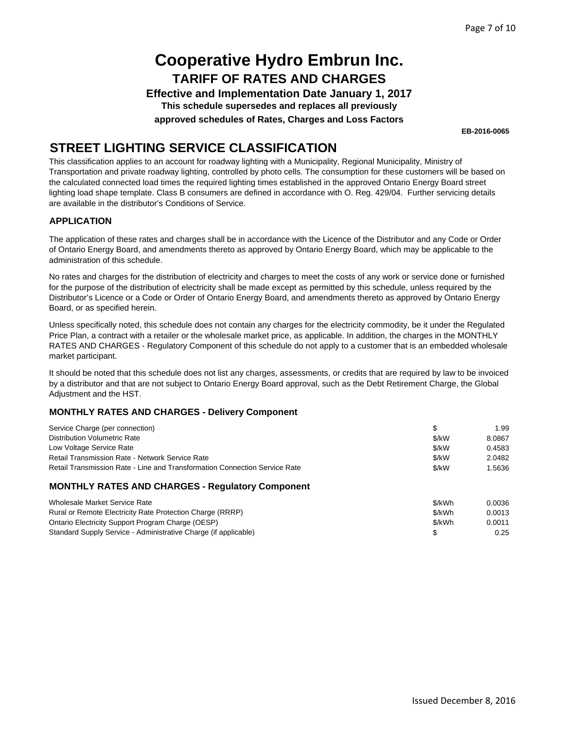**Effective and Implementation Date January 1, 2017 This schedule supersedes and replaces all previously**

**approved schedules of Rates, Charges and Loss Factors**

**EB-2016-0065**

## **STREET LIGHTING SERVICE CLASSIFICATION**

This classification applies to an account for roadway lighting with a Municipality, Regional Municipality, Ministry of Transportation and private roadway lighting, controlled by photo cells. The consumption for these customers will be based on the calculated connected load times the required lighting times established in the approved Ontario Energy Board street lighting load shape template. Class B consumers are defined in accordance with O. Reg. 429/04. Further servicing details are available in the distributor's Conditions of Service.

### **APPLICATION**

The application of these rates and charges shall be in accordance with the Licence of the Distributor and any Code or Order of Ontario Energy Board, and amendments thereto as approved by Ontario Energy Board, which may be applicable to the administration of this schedule.

No rates and charges for the distribution of electricity and charges to meet the costs of any work or service done or furnished for the purpose of the distribution of electricity shall be made except as permitted by this schedule, unless required by the Distributor's Licence or a Code or Order of Ontario Energy Board, and amendments thereto as approved by Ontario Energy Board, or as specified herein.

Unless specifically noted, this schedule does not contain any charges for the electricity commodity, be it under the Regulated Price Plan, a contract with a retailer or the wholesale market price, as applicable. In addition, the charges in the MONTHLY RATES AND CHARGES - Regulatory Component of this schedule do not apply to a customer that is an embedded wholesale market participant.

It should be noted that this schedule does not list any charges, assessments, or credits that are required by law to be invoiced by a distributor and that are not subject to Ontario Energy Board approval, such as the Debt Retirement Charge, the Global Adjustment and the HST.

| Service Charge (per connection)                                            | \$     | 1.99   |
|----------------------------------------------------------------------------|--------|--------|
| <b>Distribution Volumetric Rate</b>                                        | \$/kW  | 8.0867 |
| Low Voltage Service Rate                                                   | \$/kW  | 0.4583 |
| <b>Retail Transmission Rate - Network Service Rate</b>                     | \$/kW  | 2.0482 |
| Retail Transmission Rate - Line and Transformation Connection Service Rate | \$/kW  | 1.5636 |
| <b>MONTHLY RATES AND CHARGES - Regulatory Component</b>                    |        |        |
| Wholesale Market Service Rate                                              | \$/kWh | 0.0036 |
| Rural or Remote Electricity Rate Protection Charge (RRRP)                  | \$/kWh | 0.0013 |
| Ontario Electricity Support Program Charge (OESP)                          | \$/kWh | 0.0011 |
| Standard Supply Service - Administrative Charge (if applicable)            | \$     | 0.25   |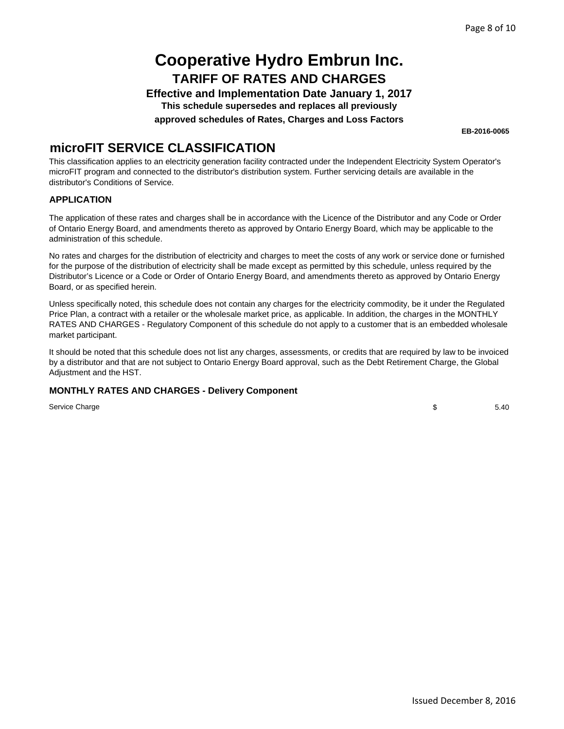**Effective and Implementation Date January 1, 2017 This schedule supersedes and replaces all previously**

**approved schedules of Rates, Charges and Loss Factors**

**EB-2016-0065**

### **microFIT SERVICE CLASSIFICATION**

This classification applies to an electricity generation facility contracted under the Independent Electricity System Operator's microFIT program and connected to the distributor's distribution system. Further servicing details are available in the distributor's Conditions of Service.

### **APPLICATION**

The application of these rates and charges shall be in accordance with the Licence of the Distributor and any Code or Order of Ontario Energy Board, and amendments thereto as approved by Ontario Energy Board, which may be applicable to the administration of this schedule.

No rates and charges for the distribution of electricity and charges to meet the costs of any work or service done or furnished for the purpose of the distribution of electricity shall be made except as permitted by this schedule, unless required by the Distributor's Licence or a Code or Order of Ontario Energy Board, and amendments thereto as approved by Ontario Energy Board, or as specified herein.

Unless specifically noted, this schedule does not contain any charges for the electricity commodity, be it under the Regulated Price Plan, a contract with a retailer or the wholesale market price, as applicable. In addition, the charges in the MONTHLY RATES AND CHARGES - Regulatory Component of this schedule do not apply to a customer that is an embedded wholesale market participant.

It should be noted that this schedule does not list any charges, assessments, or credits that are required by law to be invoiced by a distributor and that are not subject to Ontario Energy Board approval, such as the Debt Retirement Charge, the Global Adjustment and the HST.

### **MONTHLY RATES AND CHARGES - Delivery Component**

Service Charge

\$ 5.40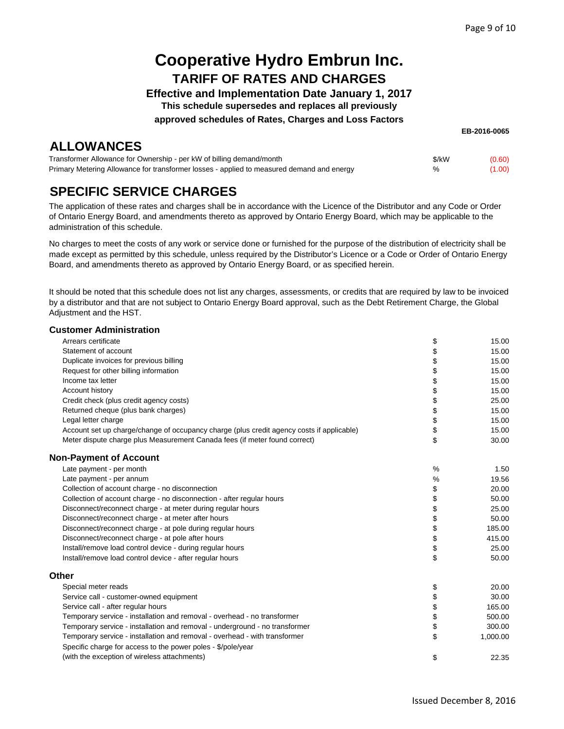**Effective and Implementation Date January 1, 2017**

**This schedule supersedes and replaces all previously**

**approved schedules of Rates, Charges and Loss Factors**

**EB-2016-0065**

## **ALLOWANCES**

| Transformer Allowance for Ownership - per kW of billing demand/month                      | \$/kW | (0.60) |
|-------------------------------------------------------------------------------------------|-------|--------|
| Primary Metering Allowance for transformer losses - applied to measured demand and energy |       | (1.00) |

## **SPECIFIC SERVICE CHARGES**

The application of these rates and charges shall be in accordance with the Licence of the Distributor and any Code or Order of Ontario Energy Board, and amendments thereto as approved by Ontario Energy Board, which may be applicable to the administration of this schedule.

No charges to meet the costs of any work or service done or furnished for the purpose of the distribution of electricity shall be made except as permitted by this schedule, unless required by the Distributor's Licence or a Code or Order of Ontario Energy Board, and amendments thereto as approved by Ontario Energy Board, or as specified herein.

It should be noted that this schedule does not list any charges, assessments, or credits that are required by law to be invoiced by a distributor and that are not subject to Ontario Energy Board approval, such as the Debt Retirement Charge, the Global Adjustment and the HST.

#### **Customer Administration**

| Arrears certificate                                                                       | \$ | 15.00    |
|-------------------------------------------------------------------------------------------|----|----------|
| Statement of account                                                                      | \$ | 15.00    |
| Duplicate invoices for previous billing                                                   | \$ | 15.00    |
| Request for other billing information                                                     | \$ | 15.00    |
| Income tax letter                                                                         | \$ | 15.00    |
| Account history                                                                           | \$ | 15.00    |
| Credit check (plus credit agency costs)                                                   | \$ | 25.00    |
| Returned cheque (plus bank charges)                                                       | \$ | 15.00    |
| Legal letter charge                                                                       | \$ | 15.00    |
| Account set up charge/change of occupancy charge (plus credit agency costs if applicable) | \$ | 15.00    |
| Meter dispute charge plus Measurement Canada fees (if meter found correct)                | \$ | 30.00    |
| <b>Non-Payment of Account</b>                                                             |    |          |
| Late payment - per month                                                                  | %  | 1.50     |
| Late payment - per annum                                                                  | %  | 19.56    |
| Collection of account charge - no disconnection                                           | \$ | 20.00    |
| Collection of account charge - no disconnection - after regular hours                     | \$ | 50.00    |
| Disconnect/reconnect charge - at meter during regular hours                               | \$ | 25.00    |
| Disconnect/reconnect charge - at meter after hours                                        | \$ | 50.00    |
| Disconnect/reconnect charge - at pole during regular hours                                | \$ | 185.00   |
| Disconnect/reconnect charge - at pole after hours                                         | \$ | 415.00   |
| Install/remove load control device - during regular hours                                 | \$ | 25.00    |
| Install/remove load control device - after regular hours                                  | \$ | 50.00    |
| Other                                                                                     |    |          |
| Special meter reads                                                                       | \$ | 20.00    |
| Service call - customer-owned equipment                                                   | \$ | 30.00    |
| Service call - after regular hours                                                        | \$ | 165.00   |
| Temporary service - installation and removal - overhead - no transformer                  | \$ | 500.00   |
| Temporary service - installation and removal - underground - no transformer               | \$ | 300.00   |
| Temporary service - installation and removal - overhead - with transformer                | \$ | 1,000.00 |
| Specific charge for access to the power poles - \$/pole/year                              |    |          |
| (with the exception of wireless attachments)                                              | \$ | 22.35    |
|                                                                                           |    |          |